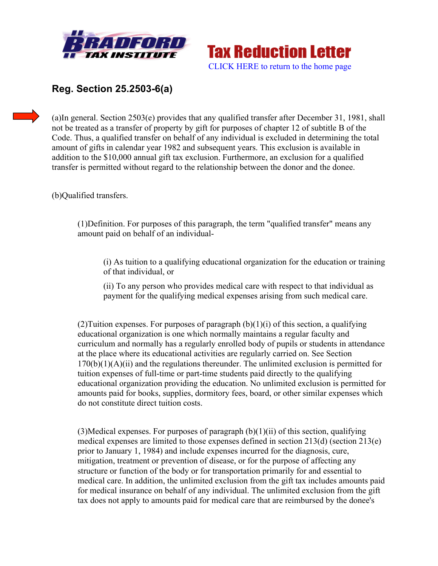



## **Reg. Section 25.2503-6(a)**

(a)In general. Section 2503(e) provides that any qualified transfer after December 31, 1981, shall not be treated as a transfer of property by gift for purposes of chapter 12 of subtitle B of the Code. Thus, a qualified transfer on behalf of any individual is excluded in determining the total amount of gifts in calendar year 1982 and subsequent years. This exclusion is available in addition to the \$10,000 annual gift tax exclusion. Furthermore, an exclusion for a qualified transfer is permitted without regard to the relationship between the donor and the donee.

(b)Qualified transfers.

(1)Definition. For purposes of this paragraph, the term "qualified transfer" means any amount paid on behalf of an individual-

(i) As tuition to a qualifying educational organization for the education or training of that individual, or

(ii) To any person who provides medical care with respect to that individual as payment for the qualifying medical expenses arising from such medical care.

(2) Tuition expenses. For purposes of paragraph  $(b)(1)(i)$  of this section, a qualifying educational organization is one which normally maintains a regular faculty and curriculum and normally has a regularly enrolled body of pupils or students in attendance at the place where its educational activities are regularly carried on. See Section  $170(b)(1)(A)(ii)$  and the regulations thereunder. The unlimited exclusion is permitted for tuition expenses of full-time or part-time students paid directly to the qualifying educational organization providing the education. No unlimited exclusion is permitted for amounts paid for books, supplies, dormitory fees, board, or other similar expenses which do not constitute direct tuition costs.

(3)Medical expenses. For purposes of paragraph  $(b)(1)(ii)$  of this section, qualifying medical expenses are limited to those expenses defined in section 213(d) (section 213(e) prior to January 1, 1984) and include expenses incurred for the diagnosis, cure, mitigation, treatment or prevention of disease, or for the purpose of affecting any structure or function of the body or for transportation primarily for and essential to medical care. In addition, the unlimited exclusion from the gift tax includes amounts paid for medical insurance on behalf of any individual. The unlimited exclusion from the gift tax does not apply to amounts paid for medical care that are reimbursed by the donee's